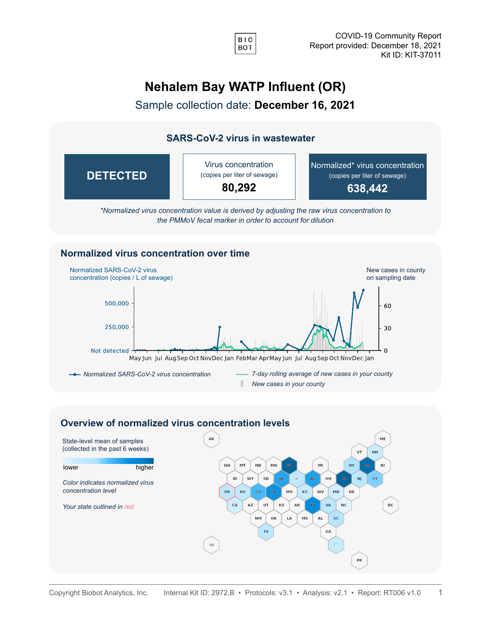

# **Nehalem Bay WATP Influent (OR)**

Sample collection date: **December 16, 2021**

### **SARS-CoV-2 virus in wastewater**



*\*Normalized virus concentration value is derived by adjusting the raw virus concentration to the PMMoV fecal marker in order to account for dilution*

#### **Normalized virus concentration over time**



#### **Overview of normalized virus concentration levels**